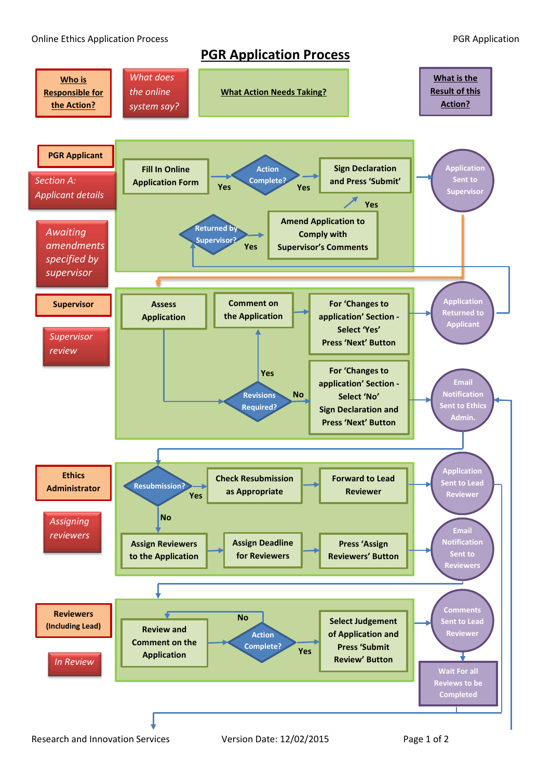**PGR Application Process**